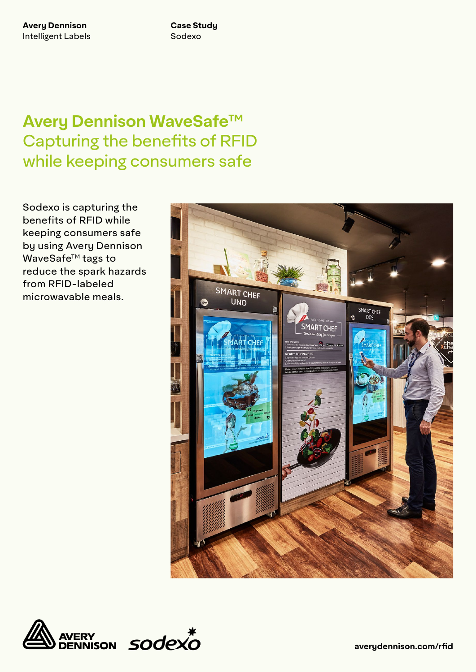# **Avery Dennison WaveSafeTM** Capturing the benefits of RFID while keeping consumers safe

Sodexo is capturing the benefits of RFID while keeping consumers safe by using Avery Dennison **WaveSafe<sup>™</sup> tags to** reduce the spark hazards from RFID-labeled microwavable meals.



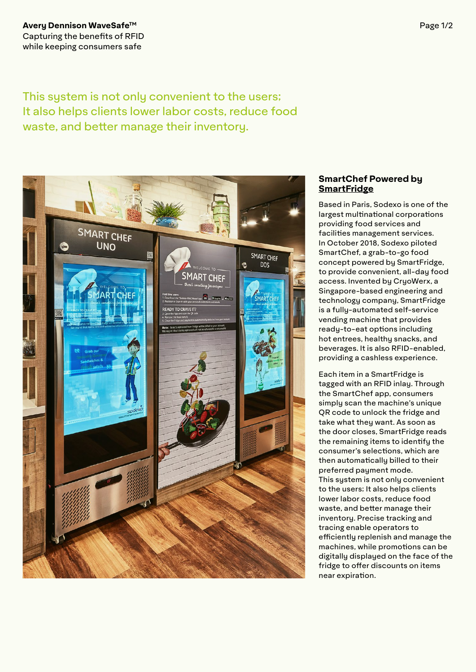This system is not only convenient to the users; It also helps clients lower labor costs, reduce food waste, and better manage their inventory.



### **SmartChef Powered by [SmartFridge](https://www.youtube.com/watch?v=ALWdlWqucPM)**

Based in Paris, Sodexo is one of the largest multinational corporations providing food services and facilities management services. In October 2018, Sodexo piloted SmartChef, a grab-to-go food concept powered by SmartFridge, to provide convenient, all-day food access. Invented by CryoWerx, a Singapore-based engineering and technology company, SmartFridge is a fully-automated self-service vending machine that provides ready-to-eat options including hot entrees, healthy snacks, and beverages. It is also RFID-enabled, providing a cashless experience.

Each item in a SmartFridge is tagged with an RFID inlay. Through the SmartChef app, consumers simply scan the machine's unique QR code to unlock the fridge and take what they want. As soon as the door closes, SmartFridge reads the remaining items to identify the consumer's selections, which are then automatically billed to their preferred payment mode. This system is not only convenient to the users; It also helps clients lower labor costs, reduce food waste, and better manage their inventory. Precise tracking and tracing enable operators to efficiently replenish and manage the machines, while promotions can be digitally displayed on the face of the fridge to offer discounts on items near expiration.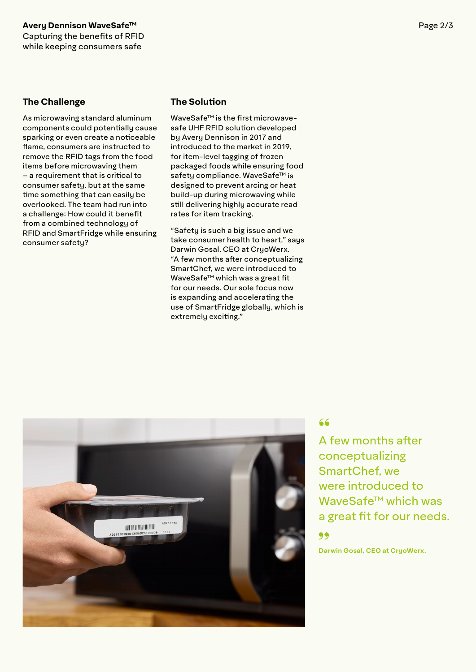### **The Challenge The Solution**

As microwaving standard aluminum components could potentially cause sparking or even create a noticeable flame, consumers are instructed to remove the RFID tags from the food items before microwaving them – a requirement that is critical to consumer safety, but at the same time something that can easily be overlooked. The team had run into a challenge: How could it benefit from a combined technology of RFID and SmartFridge while ensuring consumer safety?

WaveSafe<sup>™</sup> is the first microwavesafe UHF RFID solution developed by Avery Dennison in 2017 and introduced to the market in 2019, for item-level tagging of frozen packaged foods while ensuring food safety compliance. WaveSafe™ is designed to prevent arcing or heat build-up during microwaving while still delivering highly accurate read rates for item tracking.

"Safety is such a big issue and we take consumer health to heart," says Darwin Gosal, CEO at CruoWerx. "A few months after conceptualizing SmartChef, we were introduced to WaveSafe™ which was a great fit for our needs. Our sole focus now is expanding and accelerating the use of SmartFridge globally, which is extremely exciting."



### 66

A few months after conceptualizing SmartChef, we were introduced to WayeSafe™ which was a great fit for our needs. 99

**Darwin Gosal, CEO at CryoWerx.**